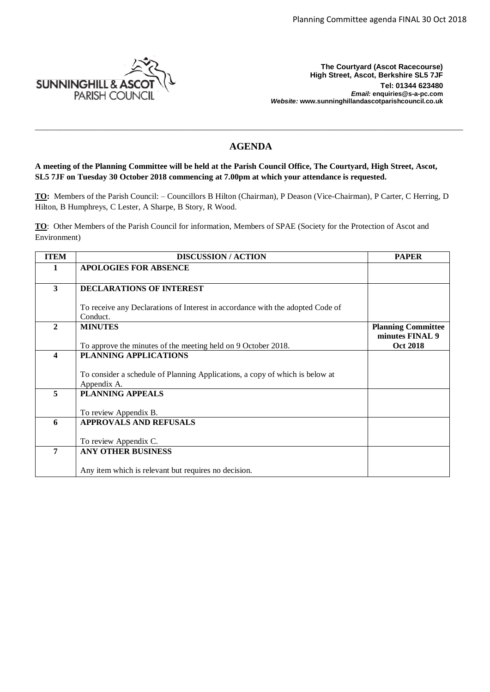

**The Courtyard (Ascot Racecourse) High Street, Ascot, Berkshire SL5 7JF Tel: 01344 623480**  *Email:* **enquiries@s-a-pc.com** *Website:* **www.sunninghillandascotparishcouncil.co.uk**

# **AGENDA**

\_\_\_\_\_\_\_\_\_\_\_\_\_\_\_\_\_\_\_\_\_\_\_\_\_\_\_\_\_\_\_\_\_\_\_\_\_\_\_\_\_\_\_\_\_\_\_\_\_\_\_\_\_\_\_\_\_\_\_\_\_\_\_\_\_\_\_\_\_\_\_\_\_\_\_\_\_\_\_\_\_\_\_\_\_\_\_\_\_\_\_\_\_\_\_\_\_\_\_\_\_\_\_\_

**A meeting of the Planning Committee will be held at the Parish Council Office, The Courtyard, High Street, Ascot, SL5 7JF on Tuesday 30 October 2018 commencing at 7.00pm at which your attendance is requested.**

**TO:** Members of the Parish Council: – Councillors B Hilton (Chairman), P Deason (Vice-Chairman), P Carter, C Herring, D Hilton, B Humphreys, C Lester, A Sharpe, B Story, R Wood.

**TO**: Other Members of the Parish Council for information, Members of SPAE (Society for the Protection of Ascot and Environment)

| <b>ITEM</b>      | <b>DISCUSSION / ACTION</b>                                                     | <b>PAPER</b>              |
|------------------|--------------------------------------------------------------------------------|---------------------------|
| 1                | <b>APOLOGIES FOR ABSENCE</b>                                                   |                           |
|                  |                                                                                |                           |
| $\mathbf{3}$     | DECLARATIONS OF INTEREST                                                       |                           |
|                  |                                                                                |                           |
|                  | To receive any Declarations of Interest in accordance with the adopted Code of |                           |
|                  | Conduct.                                                                       |                           |
| $\mathbf{2}$     | <b>MINUTES</b>                                                                 | <b>Planning Committee</b> |
|                  |                                                                                | minutes FINAL 9           |
|                  | To approve the minutes of the meeting held on 9 October 2018.                  | <b>Oct 2018</b>           |
| $\boldsymbol{4}$ | PLANNING APPLICATIONS                                                          |                           |
|                  |                                                                                |                           |
|                  | To consider a schedule of Planning Applications, a copy of which is below at   |                           |
|                  | Appendix A.                                                                    |                           |
| 5                | <b>PLANNING APPEALS</b>                                                        |                           |
|                  |                                                                                |                           |
|                  | To review Appendix B.                                                          |                           |
| 6                | <b>APPROVALS AND REFUSALS</b>                                                  |                           |
|                  |                                                                                |                           |
|                  | To review Appendix C.                                                          |                           |
| 7                | <b>ANY OTHER BUSINESS</b>                                                      |                           |
|                  |                                                                                |                           |
|                  | Any item which is relevant but requires no decision.                           |                           |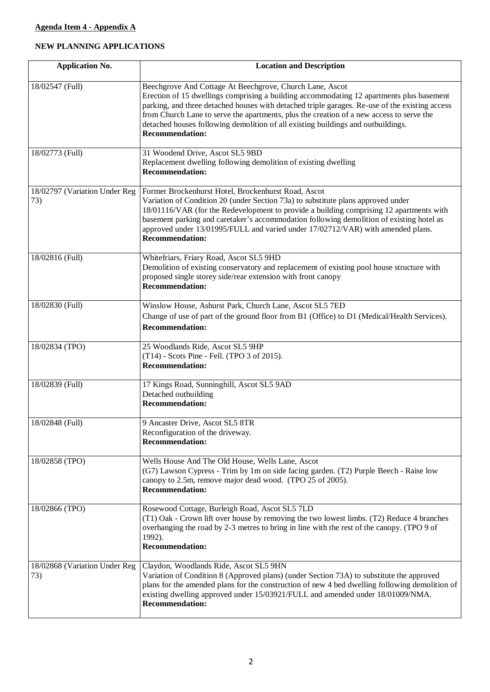## **NEW PLANNING APPLICATIONS**

| <b>Application No.</b>               | <b>Location and Description</b>                                                                                                                                                                                                                                                                                                                                                                                                                                  |
|--------------------------------------|------------------------------------------------------------------------------------------------------------------------------------------------------------------------------------------------------------------------------------------------------------------------------------------------------------------------------------------------------------------------------------------------------------------------------------------------------------------|
| 18/02547 (Full)                      | Beechgrove And Cottage At Beechgrove, Church Lane, Ascot<br>Erection of 15 dwellings comprising a building accommodating 12 apartments plus basement<br>parking, and three detached houses with detached triple garages. Re-use of the existing access<br>from Church Lane to serve the apartments, plus the creation of a new access to serve the<br>detached houses following demolition of all existing buildings and outbuildings.<br><b>Recommendation:</b> |
| 18/02773 (Full)                      | 31 Woodend Drive, Ascot SL5 9BD<br>Replacement dwelling following demolition of existing dwelling<br><b>Recommendation:</b>                                                                                                                                                                                                                                                                                                                                      |
| 18/02797 (Variation Under Reg<br>73) | Former Brockenhurst Hotel, Brockenhurst Road, Ascot<br>Variation of Condition 20 (under Section 73a) to substitute plans approved under<br>18/01116/VAR (for the Redevelopment to provide a building comprising 12 apartments with<br>basement parking and caretaker's accommodation following demolition of existing hotel as<br>approved under 13/01995/FULL and varied under 17/02712/VAR) with amended plans.<br><b>Recommendation:</b>                      |
| 18/02816 (Full)                      | Whitefriars, Friary Road, Ascot SL5 9HD<br>Demolition of existing conservatory and replacement of existing pool house structure with<br>proposed single storey side/rear extension with front canopy<br><b>Recommendation:</b>                                                                                                                                                                                                                                   |
| 18/02830 (Full)                      | Winslow House, Ashurst Park, Church Lane, Ascot SL5 7ED<br>Change of use of part of the ground floor from B1 (Office) to D1 (Medical/Health Services).<br><b>Recommendation:</b>                                                                                                                                                                                                                                                                                 |
| 18/02834 (TPO)                       | 25 Woodlands Ride, Ascot SL5 9HP<br>(T14) - Scots Pine - Fell. (TPO 3 of 2015).<br><b>Recommendation:</b>                                                                                                                                                                                                                                                                                                                                                        |
| 18/02839 (Full)                      | 17 Kings Road, Sunninghill, Ascot SL5 9AD<br>Detached outbuilding<br><b>Recommendation:</b>                                                                                                                                                                                                                                                                                                                                                                      |
| 18/02848 (Full)                      | 9 Ancaster Drive, Ascot SL5 8TR<br>Reconfiguration of the driveway.<br><b>Recommendation:</b>                                                                                                                                                                                                                                                                                                                                                                    |
| 18/02858 (TPO)                       | Wells House And The Old House, Wells Lane, Ascot<br>(G7) Lawson Cypress - Trim by 1m on side facing garden. (T2) Purple Beech - Raise low<br>canopy to 2.5m, remove major dead wood. (TPO 25 of 2005).<br><b>Recommendation:</b>                                                                                                                                                                                                                                 |
| 18/02866 (TPO)                       | Rosewood Cottage, Burleigh Road, Ascot SL5 7LD<br>(T1) Oak - Crown lift over house by removing the two lowest limbs. (T2) Reduce 4 branches<br>overhanging the road by 2-3 metres to bring in line with the rest of the canopy. (TPO 9 of<br>1992).<br><b>Recommendation:</b>                                                                                                                                                                                    |
| 18/02868 (Variation Under Reg<br>73) | Claydon, Woodlands Ride, Ascot SL5 9HN<br>Variation of Condition 8 (Approved plans) (under Section 73A) to substitute the approved<br>plans for the amended plans for the construction of new 4 bed dwelling following demolition of<br>existing dwelling approved under 15/03921/FULL and amended under 18/01009/NMA.<br><b>Recommendation:</b>                                                                                                                 |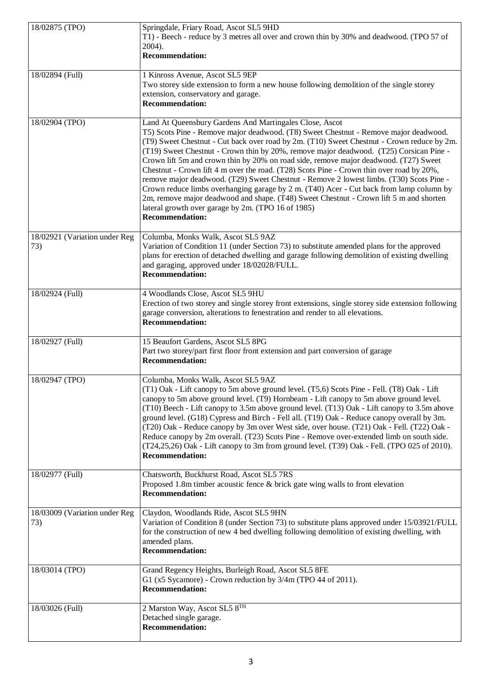| 18/02875 (TPO)                       | Springdale, Friary Road, Ascot SL5 9HD<br>T1) - Beech - reduce by 3 metres all over and crown thin by 30% and deadwood. (TPO 57 of<br>2004).<br><b>Recommendation:</b>                                                                                                                                                                                                                                                                                                                                                                                                                                                                                                                                                                                                                                                                                                                      |
|--------------------------------------|---------------------------------------------------------------------------------------------------------------------------------------------------------------------------------------------------------------------------------------------------------------------------------------------------------------------------------------------------------------------------------------------------------------------------------------------------------------------------------------------------------------------------------------------------------------------------------------------------------------------------------------------------------------------------------------------------------------------------------------------------------------------------------------------------------------------------------------------------------------------------------------------|
| 18/02894 (Full)                      | 1 Kinross Avenue, Ascot SL5 9EP<br>Two storey side extension to form a new house following demolition of the single storey<br>extension, conservatory and garage.<br><b>Recommendation:</b>                                                                                                                                                                                                                                                                                                                                                                                                                                                                                                                                                                                                                                                                                                 |
| 18/02904 (TPO)                       | Land At Queensbury Gardens And Martingales Close, Ascot<br>T5) Scots Pine - Remove major deadwood. (T8) Sweet Chestnut - Remove major deadwood.<br>(T9) Sweet Chestnut - Cut back over road by 2m. (T10) Sweet Chestnut - Crown reduce by 2m.<br>(T19) Sweet Chestnut - Crown thin by 20%, remove major deadwood. (T25) Corsican Pine -<br>Crown lift 5m and crown thin by 20% on road side, remove major deadwood. (T27) Sweet<br>Chestnut - Crown lift 4 m over the road. (T28) Scots Pine - Crown thin over road by 20%,<br>remove major deadwood. (T29) Sweet Chestnut - Remove 2 lowest limbs. (T30) Scots Pine -<br>Crown reduce limbs overhanging garage by 2 m. (T40) Acer - Cut back from lamp column by<br>2m, remove major deadwood and shape. (T48) Sweet Chestnut - Crown lift 5 m and shorten<br>lateral growth over garage by 2m. (TPO 16 of 1985)<br><b>Recommendation:</b> |
| 18/02921 (Variation under Reg<br>73) | Columba, Monks Walk, Ascot SL5 9AZ<br>Variation of Condition 11 (under Section 73) to substitute amended plans for the approved<br>plans for erection of detached dwelling and garage following demolition of existing dwelling<br>and garaging, approved under 18/02028/FULL.<br><b>Recommendation:</b>                                                                                                                                                                                                                                                                                                                                                                                                                                                                                                                                                                                    |
| 18/02924 (Full)                      | 4 Woodlands Close, Ascot SL5 9HU<br>Erection of two storey and single storey front extensions, single storey side extension following<br>garage conversion, alterations to fenestration and render to all elevations.<br><b>Recommendation:</b>                                                                                                                                                                                                                                                                                                                                                                                                                                                                                                                                                                                                                                             |
| 18/02927 (Full)                      | 15 Beaufort Gardens, Ascot SL5 8PG<br>Part two storey/part first floor front extension and part conversion of garage<br><b>Recommendation:</b>                                                                                                                                                                                                                                                                                                                                                                                                                                                                                                                                                                                                                                                                                                                                              |
| 18/02947 (TPO)                       | Columba, Monks Walk, Ascot SL5 9AZ<br>(T1) Oak - Lift canopy to 5m above ground level. (T5,6) Scots Pine - Fell. (T8) Oak - Lift<br>canopy to 5m above ground level. (T9) Hornbeam - Lift canopy to 5m above ground level.<br>(T10) Beech - Lift canopy to 3.5m above ground level. (T13) Oak - Lift canopy to 3.5m above<br>ground level. (G18) Cypress and Birch - Fell all. (T19) Oak - Reduce canopy overall by 3m.<br>(T20) Oak - Reduce canopy by 3m over West side, over house. (T21) Oak - Fell. (T22) Oak -<br>Reduce canopy by 2m overall. (T23) Scots Pine - Remove over-extended limb on south side.<br>(T24,25,26) Oak - Lift canopy to 3m from ground level. (T39) Oak - Fell. (TPO 025 of 2010).<br><b>Recommendation:</b>                                                                                                                                                   |
| 18/02977 (Full)                      | Chatsworth, Buckhurst Road, Ascot SL5 7RS<br>Proposed 1.8m timber acoustic fence $\&$ brick gate wing walls to front elevation<br><b>Recommendation:</b>                                                                                                                                                                                                                                                                                                                                                                                                                                                                                                                                                                                                                                                                                                                                    |
| 18/03009 (Variation under Reg<br>73) | Claydon, Woodlands Ride, Ascot SL5 9HN<br>Variation of Condition 8 (under Section 73) to substitute plans approved under 15/03921/FULL<br>for the construction of new 4 bed dwelling following demolition of existing dwelling, with<br>amended plans.<br><b>Recommendation:</b>                                                                                                                                                                                                                                                                                                                                                                                                                                                                                                                                                                                                            |
| 18/03014 (TPO)                       | Grand Regency Heights, Burleigh Road, Ascot SL5 8FE<br>G1 (x5 Sycamore) - Crown reduction by 3/4m (TPO 44 of 2011).<br><b>Recommendation:</b>                                                                                                                                                                                                                                                                                                                                                                                                                                                                                                                                                                                                                                                                                                                                               |
| 18/03026 (Full)                      | 2 Marston Way, Ascot $SL_5 8^{TH}$<br>Detached single garage.<br><b>Recommendation:</b>                                                                                                                                                                                                                                                                                                                                                                                                                                                                                                                                                                                                                                                                                                                                                                                                     |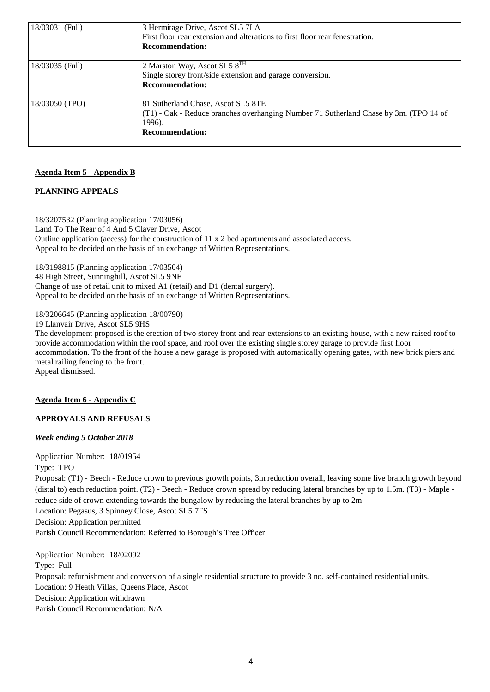| 18/03031 (Full) | 3 Hermitage Drive, Ascot SL5 7LA<br>First floor rear extension and alterations to first floor rear fenestration.<br><b>Recommendation:</b>                        |
|-----------------|-------------------------------------------------------------------------------------------------------------------------------------------------------------------|
| 18/03035 (Full) | 2 Marston Way, Ascot SL5 $8TH$<br>Single storey front/side extension and garage conversion.<br><b>Recommendation:</b>                                             |
| 18/03050 (TPO)  | 81 Sutherland Chase, Ascot SL5 8TE<br>$(T1)$ - Oak - Reduce branches overhanging Number 71 Sutherland Chase by 3m. (TPO 14 of<br>1996).<br><b>Recommendation:</b> |

#### **Agenda Item 5 - Appendix B**

## **PLANNING APPEALS**

18/3207532 (Planning application 17/03056) Land To The Rear of 4 And 5 Claver Drive, Ascot Outline application (access) for the construction of 11 x 2 bed apartments and associated access. Appeal to be decided on the basis of an exchange of Written Representations.

18/3198815 (Planning application 17/03504) 48 High Street, Sunninghill, Ascot SL5 9NF Change of use of retail unit to mixed A1 (retail) and D1 (dental surgery). Appeal to be decided on the basis of an exchange of Written Representations.

18/3206645 (Planning application 18/00790)

19 Llanvair Drive, Ascot SL5 9HS

The development proposed is the erection of two storey front and rear extensions to an existing house, with a new raised roof to provide accommodation within the roof space, and roof over the existing single storey garage to provide first floor accommodation. To the front of the house a new garage is proposed with automatically opening gates, with new brick piers and metal railing fencing to the front. Appeal dismissed.

#### **Agenda Item 6 - Appendix C**

## **APPROVALS AND REFUSALS**

#### *Week ending 5 October 2018*

Application Number: 18/01954 Type: TPO Proposal: (T1) - Beech - Reduce crown to previous growth points, 3m reduction overall, leaving some live branch growth beyond (distal to) each reduction point. (T2) - Beech - Reduce crown spread by reducing lateral branches by up to 1.5m. (T3) - Maple reduce side of crown extending towards the bungalow by reducing the lateral branches by up to 2m Location: Pegasus, 3 Spinney Close, Ascot SL5 7FS Decision: Application permitted Parish Council Recommendation: Referred to Borough's Tree Officer

Application Number: 18/02092 Type: Full Proposal: refurbishment and conversion of a single residential structure to provide 3 no. self-contained residential units. Location: 9 Heath Villas, Queens Place, Ascot Decision: Application withdrawn Parish Council Recommendation: N/A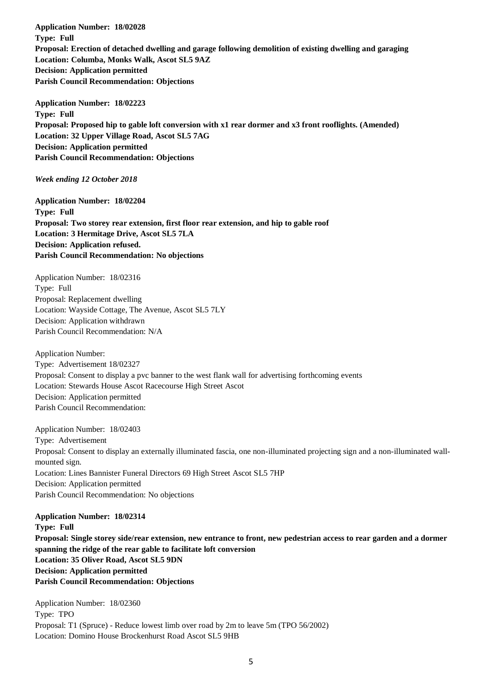**Application Number: 18/02028 Type: Full Proposal: Erection of detached dwelling and garage following demolition of existing dwelling and garaging Location: Columba, Monks Walk, Ascot SL5 9AZ Decision: Application permitted Parish Council Recommendation: Objections**

**Application Number: 18/02223 Type: Full Proposal: Proposed hip to gable loft conversion with x1 rear dormer and x3 front rooflights. (Amended) Location: 32 Upper Village Road, Ascot SL5 7AG Decision: Application permitted Parish Council Recommendation: Objections**

## *Week ending 12 October 2018*

**Application Number: 18/02204 Type: Full Proposal: Two storey rear extension, first floor rear extension, and hip to gable roof Location: 3 Hermitage Drive, Ascot SL5 7LA Decision: Application refused. Parish Council Recommendation: No objections**

Application Number: 18/02316 Type: Full Proposal: Replacement dwelling Location: Wayside Cottage, The Avenue, Ascot SL5 7LY Decision: Application withdrawn Parish Council Recommendation: N/A

Application Number: Type: Advertisement 18/02327 Proposal: Consent to display a pvc banner to the west flank wall for advertising forthcoming events Location: Stewards House Ascot Racecourse High Street Ascot Decision: Application permitted Parish Council Recommendation:

Application Number: 18/02403 Type: Advertisement Proposal: Consent to display an externally illuminated fascia, one non-illuminated projecting sign and a non-illuminated wallmounted sign. Location: Lines Bannister Funeral Directors 69 High Street Ascot SL5 7HP Decision: Application permitted Parish Council Recommendation: No objections

**Application Number: 18/02314 Type: Full Proposal: Single storey side/rear extension, new entrance to front, new pedestrian access to rear garden and a dormer spanning the ridge of the rear gable to facilitate loft conversion Location: 35 Oliver Road, Ascot SL5 9DN Decision: Application permitted Parish Council Recommendation: Objections**

Application Number: 18/02360 Type: TPO Proposal: T1 (Spruce) - Reduce lowest limb over road by 2m to leave 5m (TPO 56/2002) Location: Domino House Brockenhurst Road Ascot SL5 9HB